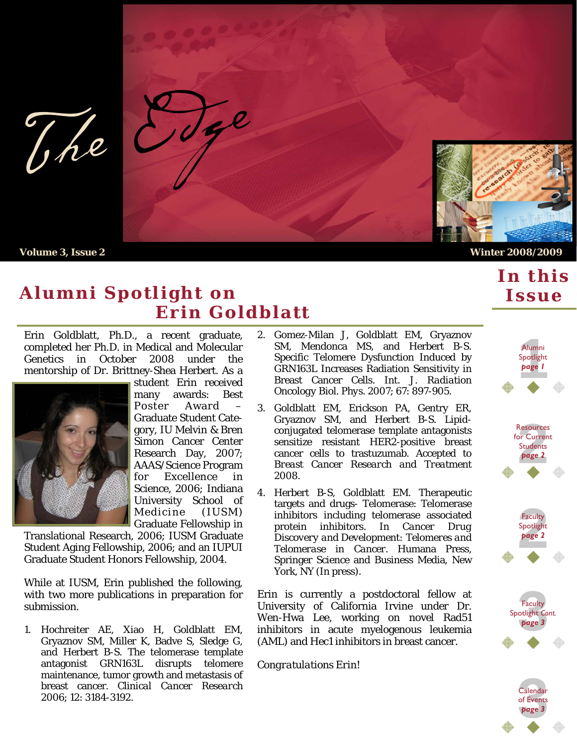tge The

 **Volume 3, Issue 2 Winter 2008/2009**

### **Alumni Spotlight on Erin Goldblatt**

Erin Goldblatt, Ph.D., a recent graduate, completed her Ph.D. in Medical and Molecular Genetics in October 2008 under the mentorship of Dr. Brittney-Shea Herbert. As a



student Erin received many awards: Best Poster Award Graduate Student Category, IU Melvin & Bren Simon Cancer Center Research Day, 2007; AAAS/Science Program for Excellence in Science, 2006; Indiana University School of Medicine (IUSM) Graduate Fellowship in

Translational Research, 2006; IUSM Graduate Student Aging Fellowship, 2006; and an IUPUI Graduate Student Honors Fellowship, 2004.

While at IUSM, Erin published the following, with two more publications in preparation for submission.

1. Hochreiter AE, Xiao H, Goldblatt EM, Gryaznov SM, Miller K, Badve S, Sledge G, and Herbert B-S. The telomerase template antagonist GRN163L disrupts telomere maintenance, tumor growth and metastasis of breast cancer. *Clinical Cancer Research* 2006; 12: 3184-3192.

- 2. Gomez-Milan J, Goldblatt EM, Gryaznov SM, Mendonca MS, and Herbert B-S. Specific Telomere Dysfunction Induced by GRN163L Increases Radiation Sensitivity in Breast Cancer Cells. *Int. J. Radiation Oncology Biol. Phys*. 2007; 67: 897-905.
- 3. Goldblatt EM, Erickson PA, Gentry ER, Gryaznov SM, and Herbert B-S. Lipidconjugated telomerase template antagonists sensitize resistant HER2-positive breast cancer cells to trastuzumab. Accepted to *Breast Cancer Research and Treatment*  2008.
- 4. Herbert B-S, Goldblatt EM. Therapeutic targets and drugs- Telomerase: Telomerase inhibitors including telomerase associated protein inhibitors. In *Cancer Drug Discovery and Development: Telomeres and Telomerase in Cancer*. Humana Press, Springer Science and Business Media, New York, NY (In press).

Erin is currently a postdoctoral fellow at University of California Irvine under Dr. Wen-Hwa Lee, working on novel Rad51 inhibitors in acute myelogenous leukemia (AML) and Hec1 inhibitors in breast cancer.

*Congratulations Erin!*



of Events *page 3*

*In this*

*Issue*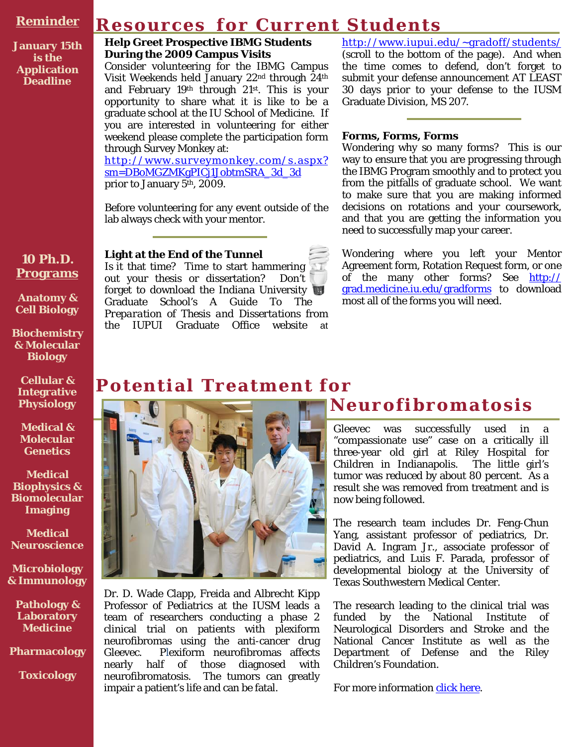#### **Reminder**

## **Resources for Current Students**

**January 15th is the Application Deadline** 

#### **Help Greet Prospective IBMG Students During the 2009 Campus Visits**

Consider volunteering for the IBMG Campus Visit Weekends held January 22nd through 24th and February 19th through 21st. This is your opportunity to share what it is like to be a graduate school at the IU School of Medicine. If you are interested in volunteering for either weekend please complete the participation form through Survey Monkey at:

http://www.surveymonkey.com/s.aspx? sm=DBoMGZMKgPICj1JobtmSRA\_3d\_3d prior to January 5<sup>th</sup>, 2009.

Before volunteering for any event outside of the lab always check with your mentor.

#### **Light at the End of the Tunnel**

Is it that time? Time to start hammering out your thesis or dissertation? Don't forget to download the Indiana University Graduate School's *A Guide To The Preparation of Thesis and Dissertations* from the IUPUI Graduate Office website at http://www.iupui.edu/~gradoff/students/ (scroll to the bottom of the page). And when the time comes to defend, don't forget to submit your defense announcement AT LEAST 30 days prior to your defense to the IUSM Graduate Division, MS 207.

#### **Forms, Forms, Forms**

Wondering why so many forms? This is our way to ensure that you are progressing through the IBMG Program smoothly and to protect you from the pitfalls of graduate school. We want to make sure that you are making informed decisions on rotations and your coursework, and that you are getting the information you need to successfully map your career.

Wondering where you left your Mentor Agreement form, Rotation Request form, or one of the many other forms? See http:// grad.medicine.iu.edu/gradforms to download most all of the forms you will need.

#### **Cellular & Integrative Physiology**

**10 Ph.D. Programs**

**Anatomy & Cell Biology** 

**Biochemistry & Molecular Biology** 

**Medical & Molecular Genetics** 

**Medical Biophysics & Biomolecular Imaging** 

**Medical Neuroscience** 

**Microbiology & Immunology** 

**Pathology & Laboratory Medicine** 

**Pharmacology** 

**Toxicology** 

### **Potential Treatment for**



Dr. D. Wade Clapp, Freida and Albrecht Kipp Professor of Pediatrics at the IUSM leads a team of researchers conducting a phase 2 clinical trial on patients with plexiform neurofibromas using the anti-cancer drug Gleevec. Plexiform neurofibromas affects nearly half of those diagnosed with neurofibromatosis. The tumors can greatly impair a patient's life and can be fatal.

## **Neurofibromatosis**

Gleevec was successfully used in a "compassionate use" case on a critically ill three-year old girl at Riley Hospital for Children in Indianapolis. The little girl's tumor was reduced by about 80 percent. As a result she was removed from treatment and is now being followed.

The research team includes Dr. Feng-Chun Yang, assistant professor of pediatrics, Dr. David A. Ingram Jr., associate professor of pediatrics, and Luis F. Parada, professor of developmental biology at the University of Texas Southwestern Medical Center.

The research leading to the clinical trial was funded by the National Institute of Neurological Disorders and Stroke and the National Cancer Institute as well as the Department of Defense and the Riley Children's Foundation.

For more information click here.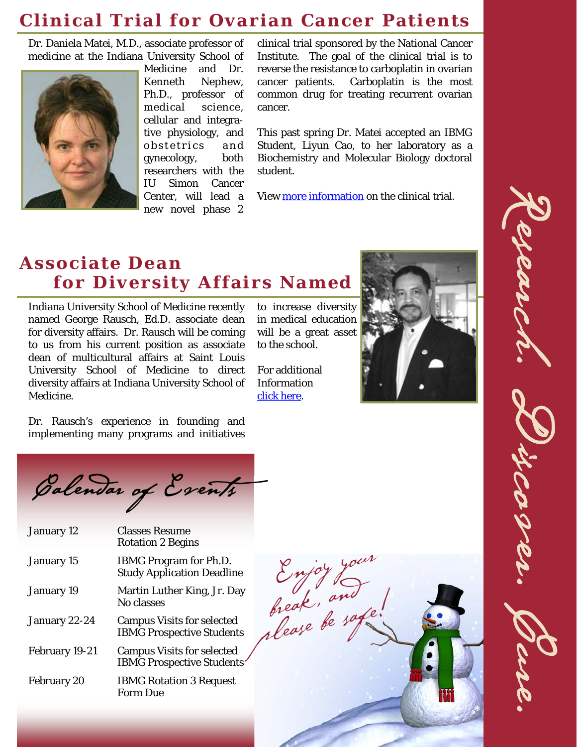### **Clinical Trial for Ovarian Cancer Patients**

Dr. Daniela Matei, M.D., associate professor of medicine at the Indiana University School of



Medicine and Dr. Kenneth Nephew, Ph.D., professor of medical science, cellular and integrative physiology, and obstetrics and gynecology, both researchers with the IU Simon Cancer Center, will lead a new novel phase 2

clinical trial sponsored by the National Cancer Institute. The goal of the clinical trial is to reverse the resistance to carboplatin in ovarian cancer patients. Carboplatin is the most common drug for treating recurrent ovarian cancer.

This past spring Dr. Matei accepted an IBMG Student, Liyun Cao, to her laboratory as a Biochemistry and Molecular Biology doctoral student.

View more information on the clinical trial.

# **Associate Dean for Diversity Affairs Named**

Indiana University School of Medicine recently named George Rausch, Ed.D. associate dean for diversity affairs. Dr. Rausch will be coming to us from his current position as associate dean of multicultural affairs at Saint Louis University School of Medicine to direct diversity affairs at Indiana University School of Medicine.

Dr. Rausch's experience in founding and implementing many programs and initiatives

to increase diversity in medical education will be a great asset to the school.

For additional Information click here.



Calendar of Events

| January 12         | <b>Classes Resume</b><br><b>Rotation 2 Begins</b>                     |
|--------------------|-----------------------------------------------------------------------|
| January 15         | <b>IBMG Program for Ph.D.</b><br><b>Study Application Deadline</b>    |
| January 19         | Martin Luther King, Jr. Day<br>No classes                             |
| January 22-24      | <b>Campus Visits for selected</b><br><b>IBMG Prospective Students</b> |
| February 19-21     | <b>Campus Visits for selected</b><br><b>IBMG Prospective Students</b> |
| <b>February 20</b> | <b>IBMG Rotation 3 Request</b><br>Form Due                            |



Research. Discover. Cure. en av d